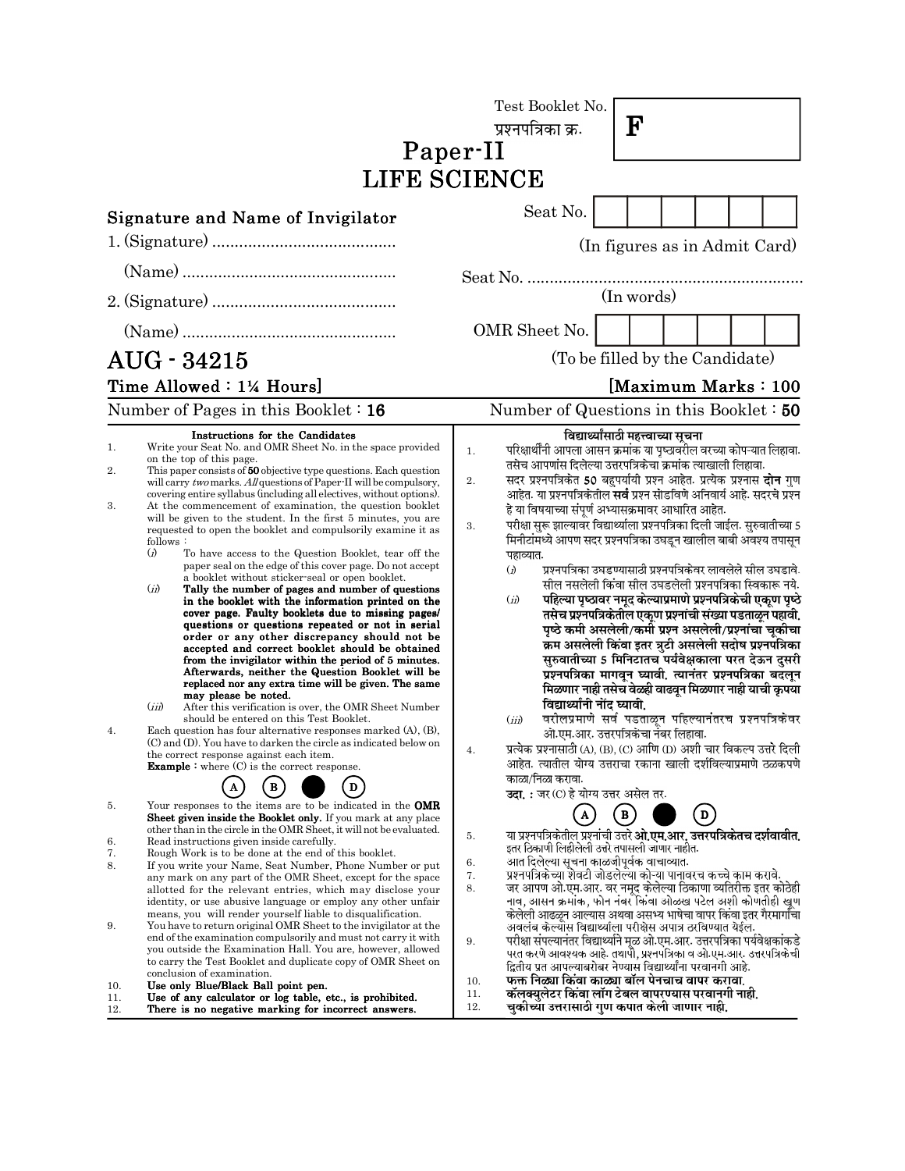|                                           |                                                                                                                                                                                                                                                                                                                                                                                                                                                                                                                                                                                                                                                                                                                                                                                                                                                                                                                                                                                                                                                                                                                                                                                                                                                                                                                                                                                                                                                                                                                                                                                                                                                                                                                                                                                          | Test Booklet No.<br>${\bf F}$<br>प्रश्नपत्रिका क्र.<br>Paper-II<br>LIFE SCIENCE                                                                                                                                                                                                                                                                                                                                                                                                                                                                                                                                                                                                                                                                                                                                                                                                                                                                                                                                                                                                                                                                                                                                                                                                                                                                                                                                                                                                                                                                                                  |
|-------------------------------------------|------------------------------------------------------------------------------------------------------------------------------------------------------------------------------------------------------------------------------------------------------------------------------------------------------------------------------------------------------------------------------------------------------------------------------------------------------------------------------------------------------------------------------------------------------------------------------------------------------------------------------------------------------------------------------------------------------------------------------------------------------------------------------------------------------------------------------------------------------------------------------------------------------------------------------------------------------------------------------------------------------------------------------------------------------------------------------------------------------------------------------------------------------------------------------------------------------------------------------------------------------------------------------------------------------------------------------------------------------------------------------------------------------------------------------------------------------------------------------------------------------------------------------------------------------------------------------------------------------------------------------------------------------------------------------------------------------------------------------------------------------------------------------------------|----------------------------------------------------------------------------------------------------------------------------------------------------------------------------------------------------------------------------------------------------------------------------------------------------------------------------------------------------------------------------------------------------------------------------------------------------------------------------------------------------------------------------------------------------------------------------------------------------------------------------------------------------------------------------------------------------------------------------------------------------------------------------------------------------------------------------------------------------------------------------------------------------------------------------------------------------------------------------------------------------------------------------------------------------------------------------------------------------------------------------------------------------------------------------------------------------------------------------------------------------------------------------------------------------------------------------------------------------------------------------------------------------------------------------------------------------------------------------------------------------------------------------------------------------------------------------------|
|                                           | <b>Signature and Name of Invigilator</b>                                                                                                                                                                                                                                                                                                                                                                                                                                                                                                                                                                                                                                                                                                                                                                                                                                                                                                                                                                                                                                                                                                                                                                                                                                                                                                                                                                                                                                                                                                                                                                                                                                                                                                                                                 | Seat No.                                                                                                                                                                                                                                                                                                                                                                                                                                                                                                                                                                                                                                                                                                                                                                                                                                                                                                                                                                                                                                                                                                                                                                                                                                                                                                                                                                                                                                                                                                                                                                         |
|                                           |                                                                                                                                                                                                                                                                                                                                                                                                                                                                                                                                                                                                                                                                                                                                                                                                                                                                                                                                                                                                                                                                                                                                                                                                                                                                                                                                                                                                                                                                                                                                                                                                                                                                                                                                                                                          | (In figures as in Admit Card)<br>(In words)                                                                                                                                                                                                                                                                                                                                                                                                                                                                                                                                                                                                                                                                                                                                                                                                                                                                                                                                                                                                                                                                                                                                                                                                                                                                                                                                                                                                                                                                                                                                      |
|                                           | AUG - 34215                                                                                                                                                                                                                                                                                                                                                                                                                                                                                                                                                                                                                                                                                                                                                                                                                                                                                                                                                                                                                                                                                                                                                                                                                                                                                                                                                                                                                                                                                                                                                                                                                                                                                                                                                                              | OMR Sheet No.<br>(To be filled by the Candidate)                                                                                                                                                                                                                                                                                                                                                                                                                                                                                                                                                                                                                                                                                                                                                                                                                                                                                                                                                                                                                                                                                                                                                                                                                                                                                                                                                                                                                                                                                                                                 |
|                                           | Time Allowed: 1¼ Hours]<br>Number of Pages in this Booklet $: 16$                                                                                                                                                                                                                                                                                                                                                                                                                                                                                                                                                                                                                                                                                                                                                                                                                                                                                                                                                                                                                                                                                                                                                                                                                                                                                                                                                                                                                                                                                                                                                                                                                                                                                                                        | [Maximum Marks: 100<br>Number of Questions in this Booklet: 50                                                                                                                                                                                                                                                                                                                                                                                                                                                                                                                                                                                                                                                                                                                                                                                                                                                                                                                                                                                                                                                                                                                                                                                                                                                                                                                                                                                                                                                                                                                   |
| 1.<br>2.<br>3.<br>4.<br>5.                | Instructions for the Candidates<br>Write your Seat No. and OMR Sheet No. in the space provided<br>on the top of this page.<br>This paper consists of 50 objective type questions. Each question<br>will carry two marks. All questions of Paper-II will be compulsory,<br>covering entire syllabus (including all electives, without options).<br>At the commencement of examination, the question booklet<br>will be given to the student. In the first 5 minutes, you are<br>requested to open the booklet and compulsorily examine it as<br>follows:<br>$\Omega$<br>To have access to the Question Booklet, tear off the<br>paper seal on the edge of this cover page. Do not accept<br>a booklet without sticker-seal or open booklet.<br>(ii)<br>Tally the number of pages and number of questions<br>in the booklet with the information printed on the<br>cover page. Faulty booklets due to missing pages/<br>questions or questions repeated or not in serial<br>order or any other discrepancy should not be<br>accepted and correct booklet should be obtained<br>from the invigilator within the period of 5 minutes.<br>Afterwards, neither the Question Booklet will be<br>replaced nor any extra time will be given. The same<br>may please be noted.<br>(iii)<br>After this verification is over, the OMR Sheet Number<br>should be entered on this Test Booklet.<br>Each question has four alternative responses marked (A), (B),<br>(C) and (D). You have to darken the circle as indicated below on<br>the correct response against each item.<br><b>Example</b> : where $(C)$ is the correct response.<br>$\bf{B}$<br>D<br>Your responses to the items are to be indicated in the <b>OMR</b><br><b>Sheet given inside the Booklet only.</b> If you mark at any place | विद्यार्थ्यांसाठी महत्त्वाच्या सूचना<br>परिक्षार्थींनी आपला आसन क्रमांक या पृष्ठावरील वरच्या कोपऱ्यात लिहावा.<br>1.<br>तसेच आपणांस दिलेल्या उत्तरपत्रिकेचा क्रमांक त्याखाली लिहावा.<br>सदर प्रश्नपत्रिकेत 50 बहुपर्यायी प्रश्न आहेत. प्रत्येक प्रश्नास <b>दोन</b> गुण<br>2.<br>आहेत. या प्रश्नपत्रिकेतील <b>सर्व</b> प्रश्न सोडविणे अनिवार्य आहे. सदरचे प्रश्न<br>हे या विषयाच्या संपूर्ण अभ्यासक्रमावर आधारित आहेत.<br>परीक्षा सुरू झाल्यावर विद्यार्थ्याला प्रश्नपत्रिका दिली जाईल. सुरुवातीच्या 5<br>3.<br>मिनीटांमध्ये आपण सदर प्रश्नपत्रिका उघडून खालील बाबी अवश्य तपासून<br>पहाव्यात.<br>प्रश्नपत्रिका उघडण्यासाठी प्रश्नपत्रिकेवर लावलेले सील उघडावे.<br>$\ddot{a}$<br>सील नसलेली किंवा सील उघडलेली प्रश्नपत्रिका स्विकारू नये.<br>पहिल्या पृष्ठावर नमूद केल्याप्रमाणे प्रश्नपत्रिकेची एकूण पृष्ठे<br>(ii)<br>तसेच प्रश्नपत्रिकेतील एकूण प्रश्नांची संख्या पडताळून पहावी.<br>पृष्ठे कमी असलेली/कमी प्रश्न असलेली/प्रश्नांचा चूकीचा<br>क्रम असलेली किंवा इतर त्रुटी असलेली सदोष प्रश्नपत्रिका<br>सुरुवातीच्या 5 मिनिटातच पर्यवेक्षकाला परत देऊन दुसरी<br>प्रश्नपत्रिका मागवून घ्यावी. त्यानंतर प्रश्नपत्रिका बदलून<br>मिळणार नाही तसेच वेळही वाढवून मिळणार नाही याची कृपया<br>विद्यार्थ्यांनी नोंद घ्यावी.<br>वरीलप्रमाणे सर्व पडताळून पहिल्यानंतरच प्रश्नपत्रिकेवर<br>(iii)<br>ओ.एम.आर. उत्तरपत्रिकेचा नंबर लिहावा.<br>प्रत्येक प्रश्नासाठी (A), (B), (C) आणि (D) अशी चार विकल्प उत्तरे दिली<br>4.<br>आहेत. त्यातील योग्य उत्तराचा रकाना खाली दर्शविल्याप्रमाणे ठळकपणे<br>काळा/निळा करावा.<br><b>उदा. :</b> जर (C) हे योग्य उत्तर असेल तर.<br>$\boxed{B}$<br>$\mathbf{D}$ |
| 6.<br>7.<br>8.<br>9.<br>10.<br>11.<br>12. | other than in the circle in the OMR Sheet, it will not be evaluated.<br>Read instructions given inside carefully.<br>Rough Work is to be done at the end of this booklet.<br>If you write your Name, Seat Number, Phone Number or put<br>any mark on any part of the OMR Sheet, except for the space<br>allotted for the relevant entries, which may disclose your<br>identity, or use abusive language or employ any other unfair<br>means, you will render yourself liable to disqualification.<br>You have to return original OMR Sheet to the invigilator at the<br>end of the examination compulsorily and must not carry it with<br>you outside the Examination Hall. You are, however, allowed<br>to carry the Test Booklet and duplicate copy of OMR Sheet on<br>conclusion of examination.<br>Use only Blue/Black Ball point pen.<br>Use of any calculator or log table, etc., is prohibited.<br>There is no negative marking for incorrect answers.                                                                                                                                                                                                                                                                                                                                                                                                                                                                                                                                                                                                                                                                                                                                                                                                                            | या प्रश्नपत्रिकेतील प्रश्नांची उत्तरे <b>ओ.एम.आर. उत्तरपत्रिकेतच दर्शवावीत.</b><br>5.<br>इतर ठिकाणी लिहीलेली उत्तरे तपासली जाणार नाहीत.<br>आत दिलेल्या सूचना काळजीपूर्वक वाचाव्यात.<br>6.<br>प्रश्नपत्रिकेच्या शेवटी जोडलेल्या कोऱ्या पानावरच कच्चे काम करावे.<br>7.<br>जर आपण ओ.एम.आर. वर नमूद केलेल्या ठिकाणा व्यतिरीक्त इतर कोठेही<br>8.<br>नाव, आसन क्रमांक, फोन नंबर किंवा ओळख पटेल अशी कोणतीही खूण<br>केलेली आढळून आल्यास अथवा असभ्य भाषेचा वापर किंवा इतर गैरमार्गांचा<br>अवलंब केल्यास विद्यार्थ्याला परीक्षेस अपात्र ठरविण्यात येईल.<br>परीक्षा संपल्यानंतर विद्यार्थ्याने मूळ ओ.एम.आर. उत्तरपत्रिका पर्यवेक्षकांकडे<br>9.<br>परत करणे आवश्यक आहे. तथापौ, प्रश्नपत्रिका व ओ.एम.आर. उत्तरपत्रिकेची<br>द्वितीय प्रत आपल्याबरोबर नेण्यास विद्यार्थ्यांना परवानगी आहे.<br>फक्त निळ्या किंवा काळ्या बॉल पेनचाच वापर करावा.<br>10.<br>कॅलक्युलेटर किंवा लॉग टेबल वापरण्यास परवानगी नाही.<br>11.<br>चुकीच्या उत्तरासाठी गुण कपात केली जाणार नाही.<br>12.                                                                                                                                                                                                                                                                                                                                                                                                                                                                                                                                                                                                                       |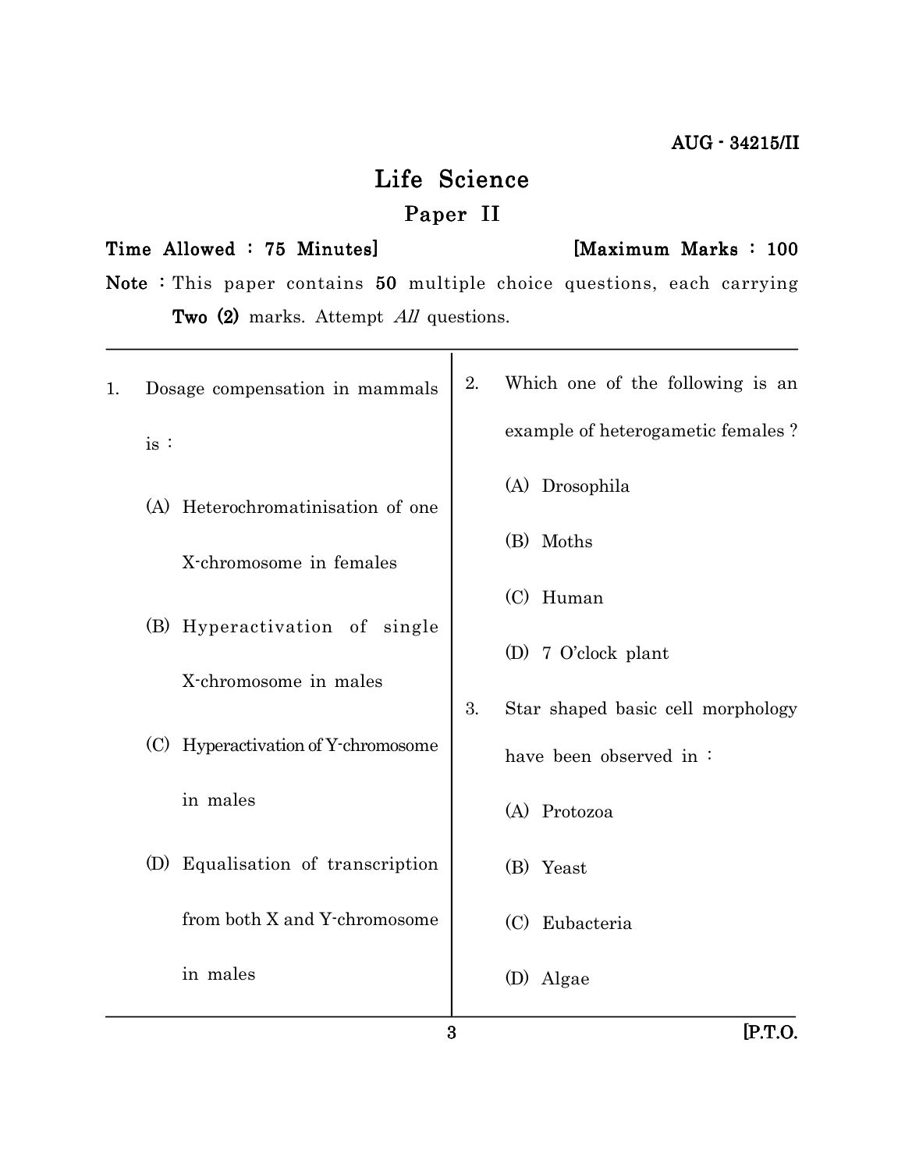# Life Science Paper II

#### Time Allowed : 75 Minutes] [Maximum Marks : 100

Note : This paper contains  $50$  multiple choice questions, each carrying Two  $(2)$  marks. Attempt  $All$  questions.

| 1. |     | Dosage compensation in mammals                         | 2. | Which one of the following is an  |
|----|-----|--------------------------------------------------------|----|-----------------------------------|
|    | is: |                                                        |    | example of heterogametic females? |
|    |     | (A) Heterochromatinisation of one                      |    | (A) Drosophila                    |
|    |     | X-chromosome in females                                |    | (B) Moths                         |
|    |     |                                                        |    | (C) Human                         |
|    |     | (B) Hyperactivation of single<br>X-chromosome in males |    | (D) 7 O'clock plant               |
|    |     |                                                        | 3. | Star shaped basic cell morphology |
|    |     | (C) Hyperactivation of Y-chromosome                    |    | have been observed in:            |
|    |     | in males                                               |    | (A) Protozoa                      |
|    |     | (D) Equalisation of transcription                      |    | (B) Yeast                         |
|    |     | from both X and Y-chromosome                           |    | Eubacteria<br>(C)                 |
|    |     | in males                                               |    | Algae<br>(D)                      |
|    |     |                                                        |    |                                   |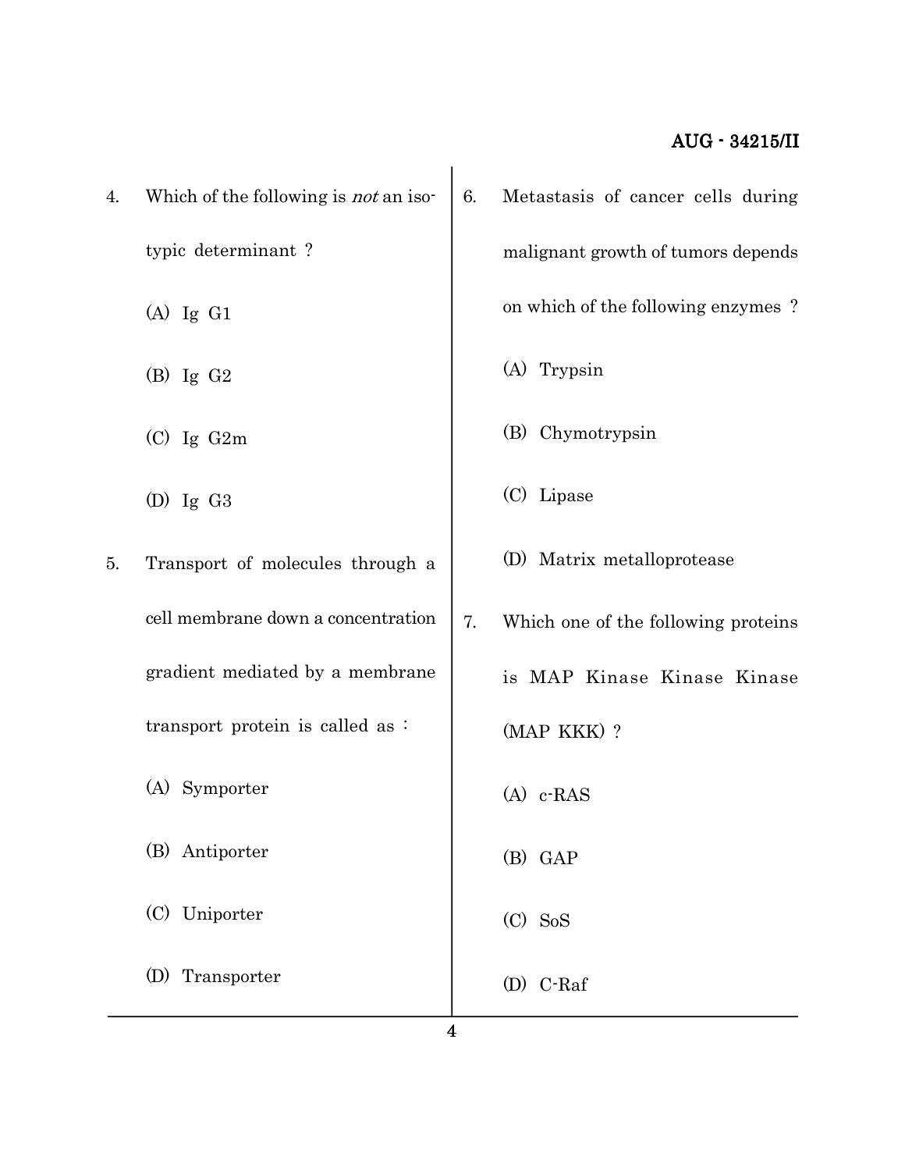| 4. | Which of the following is <i>not</i> an iso- | 6. | Metastasis of cancer cells during   |
|----|----------------------------------------------|----|-------------------------------------|
|    | typic determinant?                           |    | malignant growth of tumors depends  |
|    | $(A)$ Ig $G1$                                |    | on which of the following enzymes?  |
|    | $(B)$ Ig $G2$                                |    | (A) Trypsin                         |
|    | $(C)$ Ig $G2m$                               |    | (B) Chymotrypsin                    |
|    | $(D)$ Ig $G3$                                |    | (C) Lipase                          |
| 5. | Transport of molecules through a             |    | (D) Matrix metalloprotease          |
|    | cell membrane down a concentration           | 7. | Which one of the following proteins |
|    | gradient mediated by a membrane              |    | is MAP Kinase Kinase Kinase         |
|    | transport protein is called as:              |    | (MAP KKK) ?                         |
|    | (A) Symporter                                |    | $(A)$ c-RAS                         |
|    | (B) Antiporter                               |    | (B) GAP                             |
|    | (C) Uniporter                                |    | $(C)$ SoS                           |
|    | (D) Transporter                              |    | (D) C-Raf                           |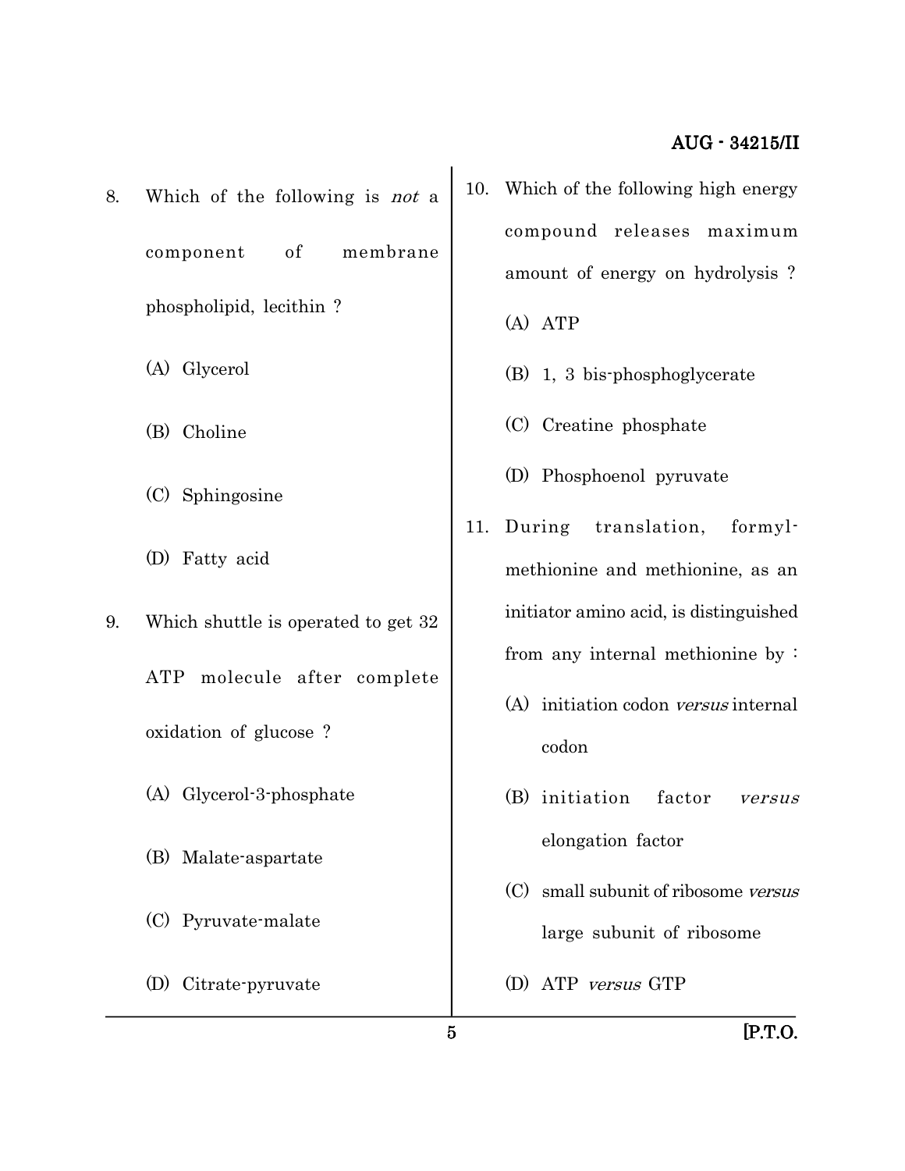- 8. Which of the following is not a component of membrane phospholipid, lecithin ?
	- (A) Glycerol
	- (B) Choline
	- (C) Sphingosine
	- (D) Fatty acid
- 9. Which shuttle is operated to get 32 ATP molecule after complete oxidation of glucose ? (A) Glycerol-3-phosphate (B) Malate-aspartate
	- (C) Pyruvate-malate
	- (D) Citrate-pyruvate
- 10. Which of the following high energy compound releases maximum amount of energy on hydrolysis ?
	- (A) ATP
	- (B) 1, 3 bis-phosphoglycerate
	- (C) Creatine phosphate
	- (D) Phosphoenol pyruvate
- 11. During translation, formylmethionine and methionine, as an initiator amino acid, is distinguished from any internal methionine by :
	- (A) initiation codon versus internal codon
	- (B) initiation factor versus elongation factor
	- (C) small subunit of ribosome versus large subunit of ribosome
	- (D) ATP versus GTP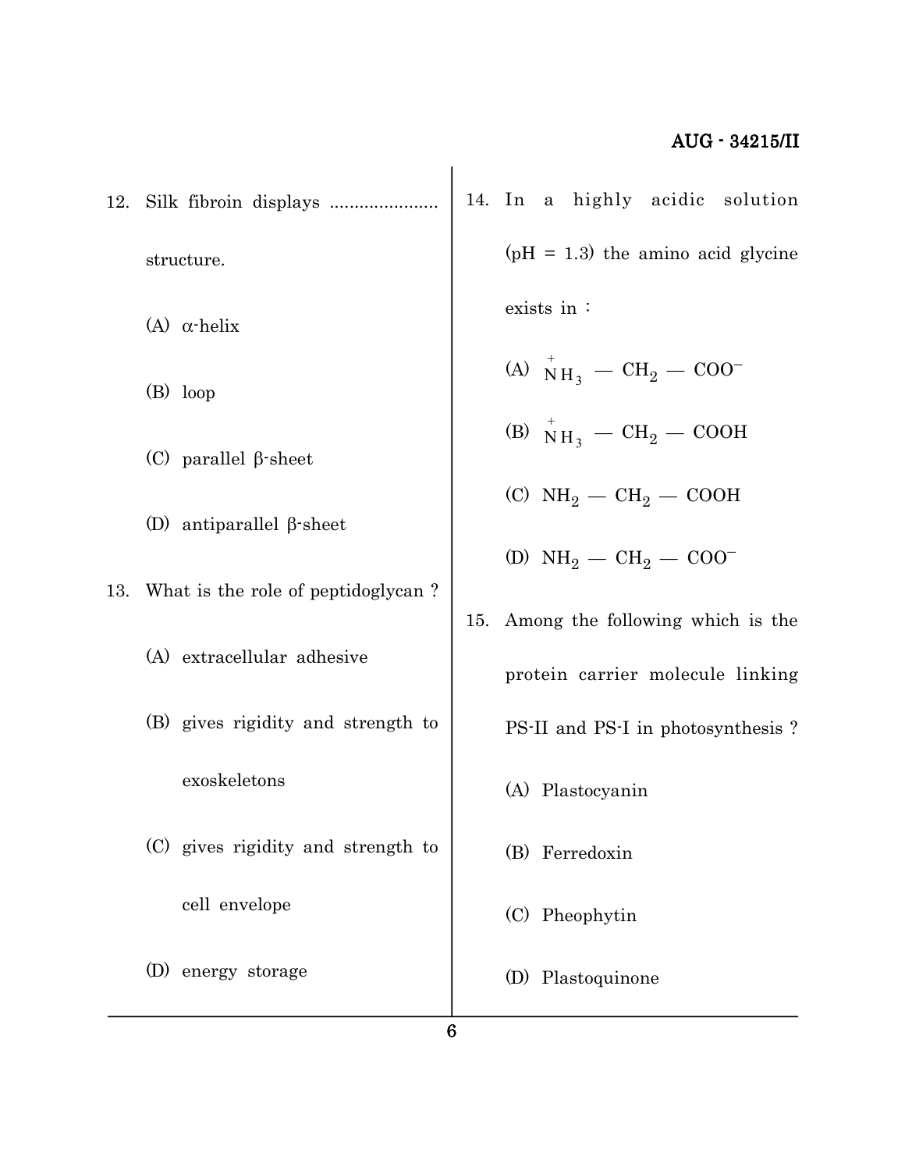12. Silk fibroin displays ...................... structure. (A)  $\alpha$ -helix (B) loop (C) parallel  $\beta$ -sheet (D) antiparallel  $\beta$ -sheet 13. What is the role of peptidoglycan ? (A) extracellular adhesive (B) gives rigidity and strength to exoskeletons (C) gives rigidity and strength to cell envelope (D) energy storage 14. In a highly acidic solution  $(pH = 1.3)$  the amino acid glycine exists in : (A)  $N_{\rm H_3}^+ - \rm CH_2 - \rm COO^-$ (B)  $N_{\rm H_3}^+ - \rm CH_2 - \rm COOH$ (C)  $NH_2-CH_2-COOH$ (D)  $NH_2 - CH_2 - COO^-$ 15. Among the following which is the protein carrier molecule linking PS-II and PS-I in photosynthesis ? (A) Plastocyanin (B) Ferredoxin (C) Pheophytin (D) Plastoquinone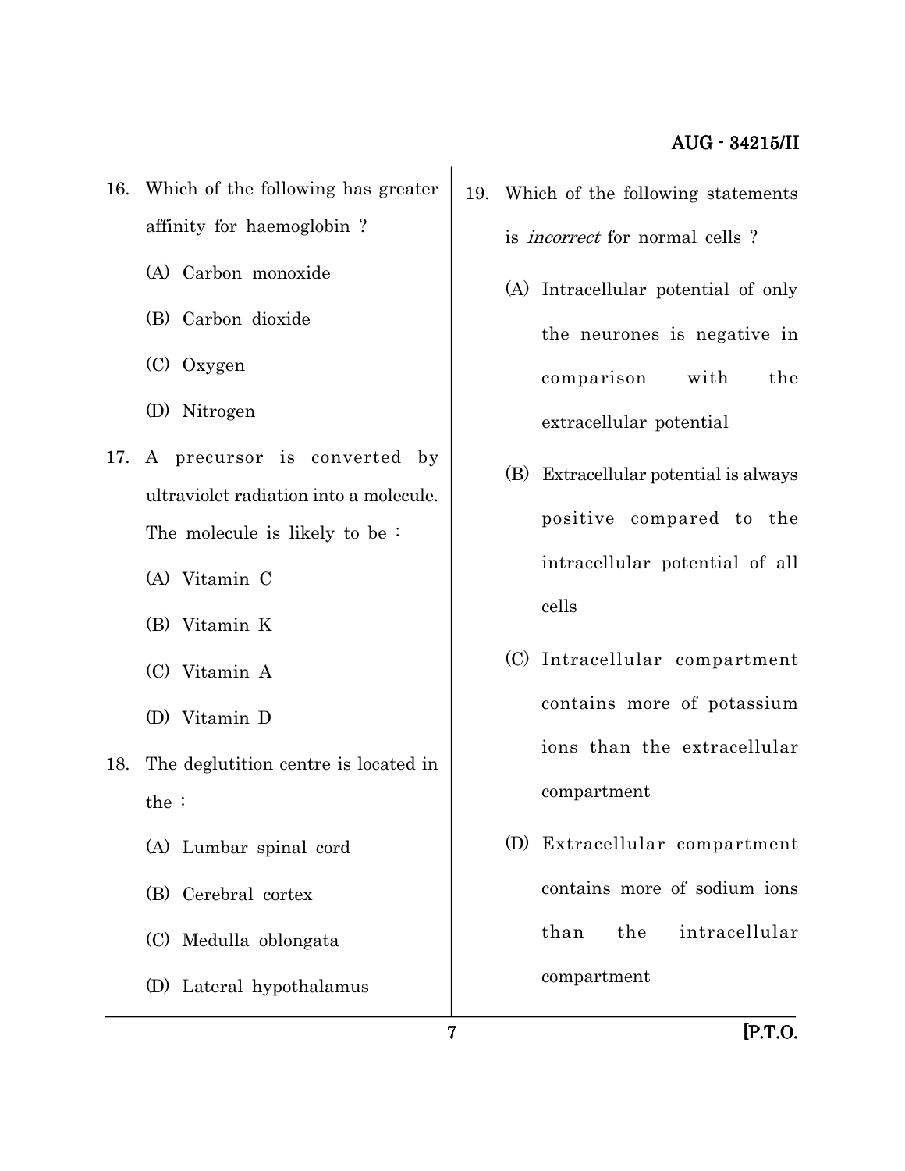- 16. Which of the following has greater affinity for haemoglobin ?
	- (A) Carbon monoxide
	- (B) Carbon dioxide
	- (C) Oxygen
	- (D) Nitrogen
- 17. A precursor is converted by ultraviolet radiation into a molecule. The molecule is likely to be :
	- (A) Vitamin C
	- (B) Vitamin K
	- (C) Vitamin A
	- (D) Vitamin D
- 18. The deglutition centre is located in the :
	- (A) Lumbar spinal cord
	- (B) Cerebral cortex
	- (C) Medulla oblongata
	- (D) Lateral hypothalamus
- 19. Which of the following statements is incorrect for normal cells ?
	- (A) Intracellular potential of only the neurones is negative in comparison with the extracellular potential
	- (B) Extracellular potential is always positive compared to the intracellular potential of all cells
	- (C) Intracellular compartment contains more of potassium ions than the extracellular compartment
	- (D) Extracellular compartment contains more of sodium ions than the intracellular compartment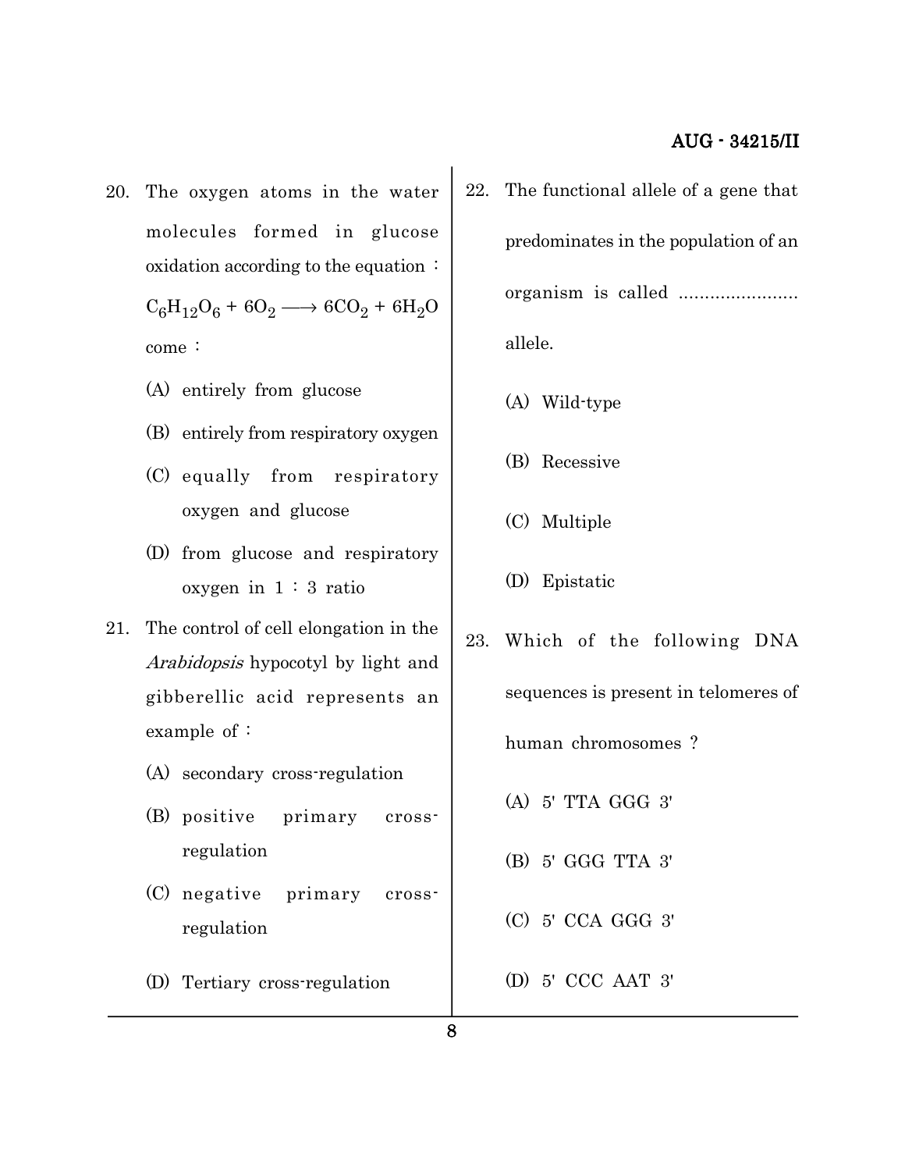- 20. The oxygen atoms in the water molecules formed in glucose oxidation according to the equation :  $C_6H_{12}O_6 + 6O_2 \longrightarrow 6CO_2 + 6H_2O$ come :
	- (A) entirely from glucose
	- (B) entirely from respiratory oxygen
	- (C) equally from respiratory oxygen and glucose
	- (D) from glucose and respiratory oxygen in  $1:3$  ratio
- 21. The control of cell elongation in the Arabidopsis hypocotyl by light and gibberellic acid represents an example of :
	- (A) secondary cross-regulation
	- (B) positive primary crossregulation
	- (C) negative primary crossregulation
	- (D) Tertiary cross-regulation
- 22. The functional allele of a gene that predominates in the population of an organism is called ....................... allele.
	- (A) Wild-type
	- (B) Recessive
	- (C) Multiple
	- (D) Epistatic
- 23. Which of the following DNA sequences is present in telomeres of human chromosomes ? (A) 5' TTA GGG 3' (B) 5' GGG TTA 3' (C) 5' CCA GGG 3' (D) 5' CCC AAT 3'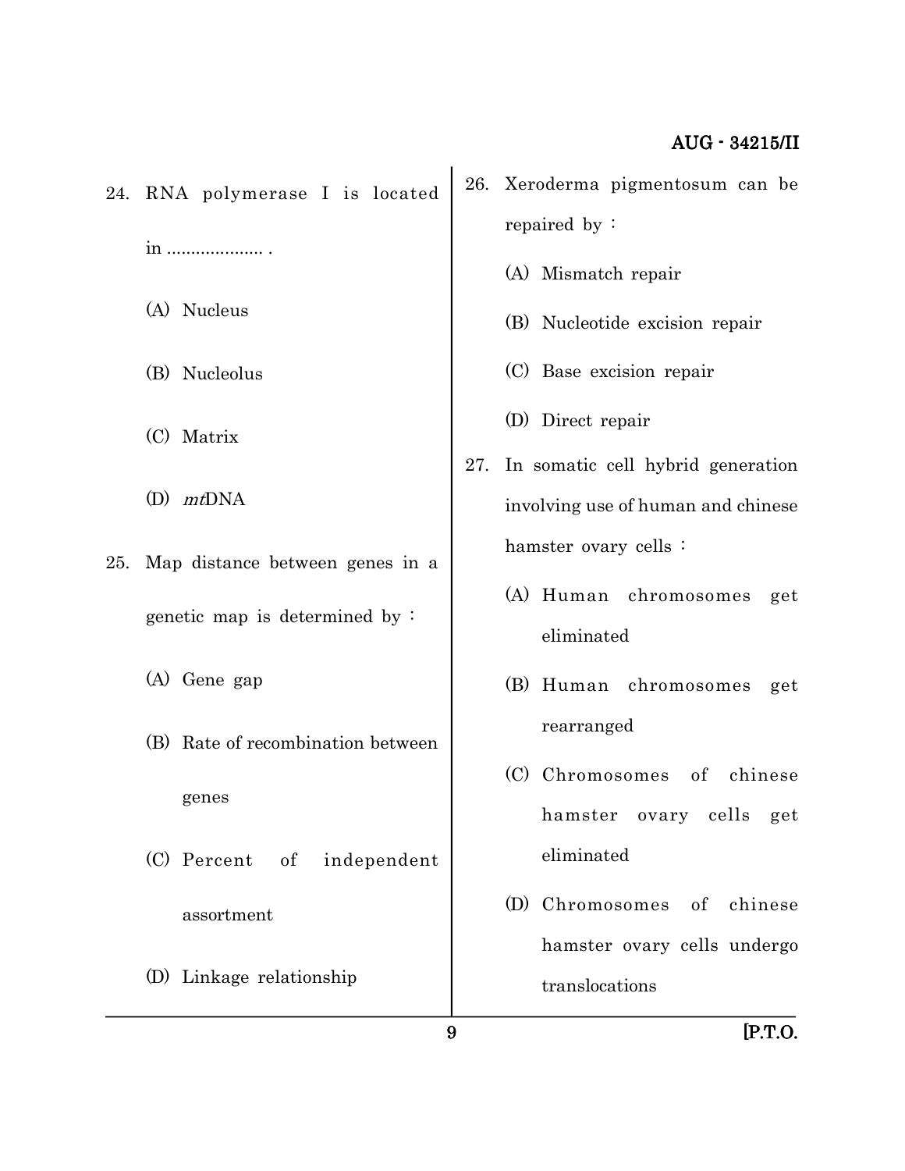24. RNA polymerase I is located in .................... .

(A) Nucleus

- (B) Nucleolus
- (C) Matrix
- $(D)$  mtDNA
- 25. Map distance between genes in a genetic map is determined by :
	- (A) Gene gap
	- (B) Rate of recombination between genes
	- (C) Percent of independent assortment
	- (D) Linkage relationship
- 26. Xeroderma pigmentosum can be repaired by :
	- (A) Mismatch repair
	- (B) Nucleotide excision repair
	- (C) Base excision repair
	- (D) Direct repair
- 27. In somatic cell hybrid generation involving use of human and chinese hamster ovary cells :
	- (A) Human chromosomes get eliminated
	- (B) Human chromosomes get rearranged
	- (C) Chromosomes of chinese hamster ovary cells get eliminated
	- (D) Chromosomes of chinese hamster ovary cells undergo translocations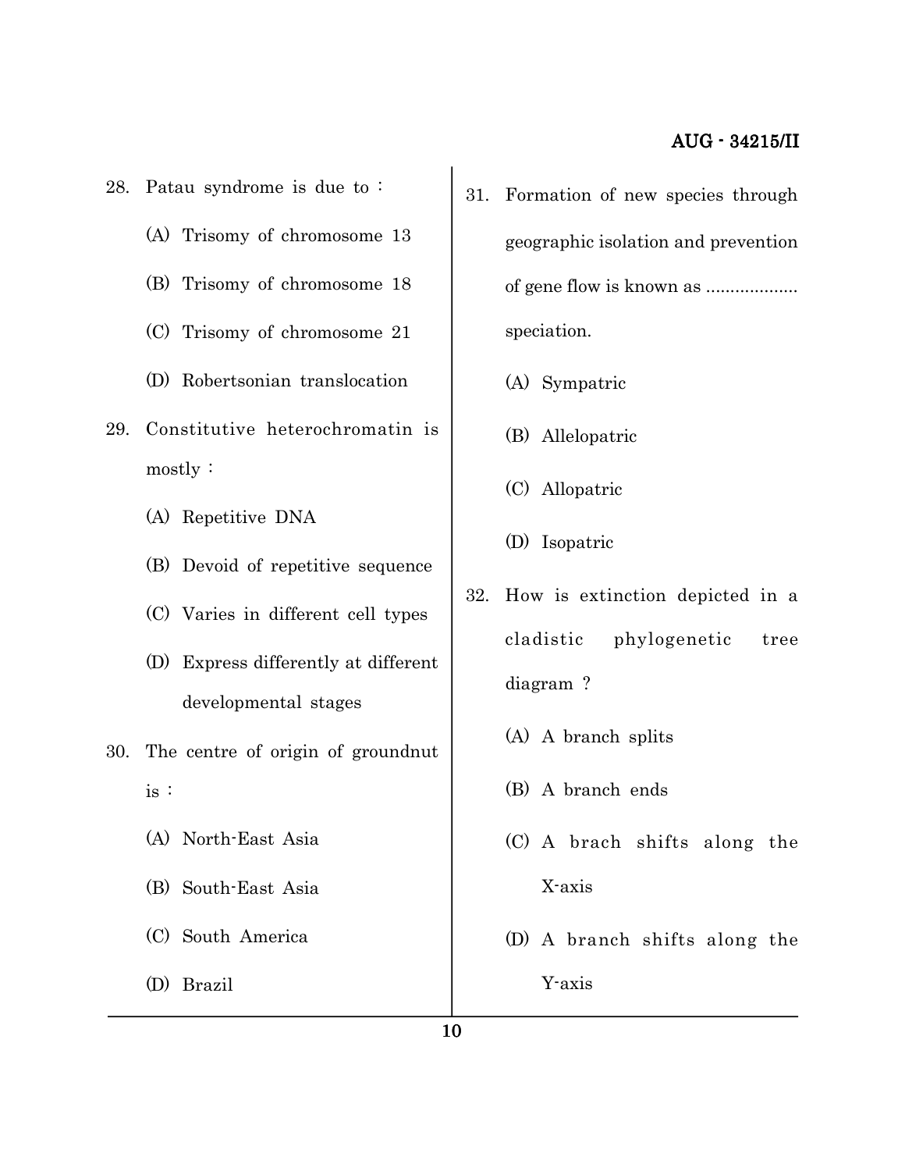- 28. Patau syndrome is due to :
	- (A) Trisomy of chromosome 13
	- (B) Trisomy of chromosome 18
	- (C) Trisomy of chromosome 21
	- (D) Robertsonian translocation
- 29. Constitutive heterochromatin is mostly :
	- (A) Repetitive DNA
	- (B) Devoid of repetitive sequence
	- (C) Varies in different cell types
	- (D) Express differently at different developmental stages
- 30. The centre of origin of groundnut is :
	- (A) North-East Asia
	- (B) South-East Asia
	- (C) South America
	- (D) Brazil
- 31. Formation of new species through geographic isolation and prevention of gene flow is known as ................... speciation.
	- (A) Sympatric
	- (B) Allelopatric
	- (C) Allopatric
	- (D) Isopatric
- 32. How is extinction depicted in a cladistic phylogenetic tree diagram ?
	- (A) A branch splits
	- (B) A branch ends
	- (C) A brach shifts along the X-axis
	- (D) A branch shifts along the Y-axis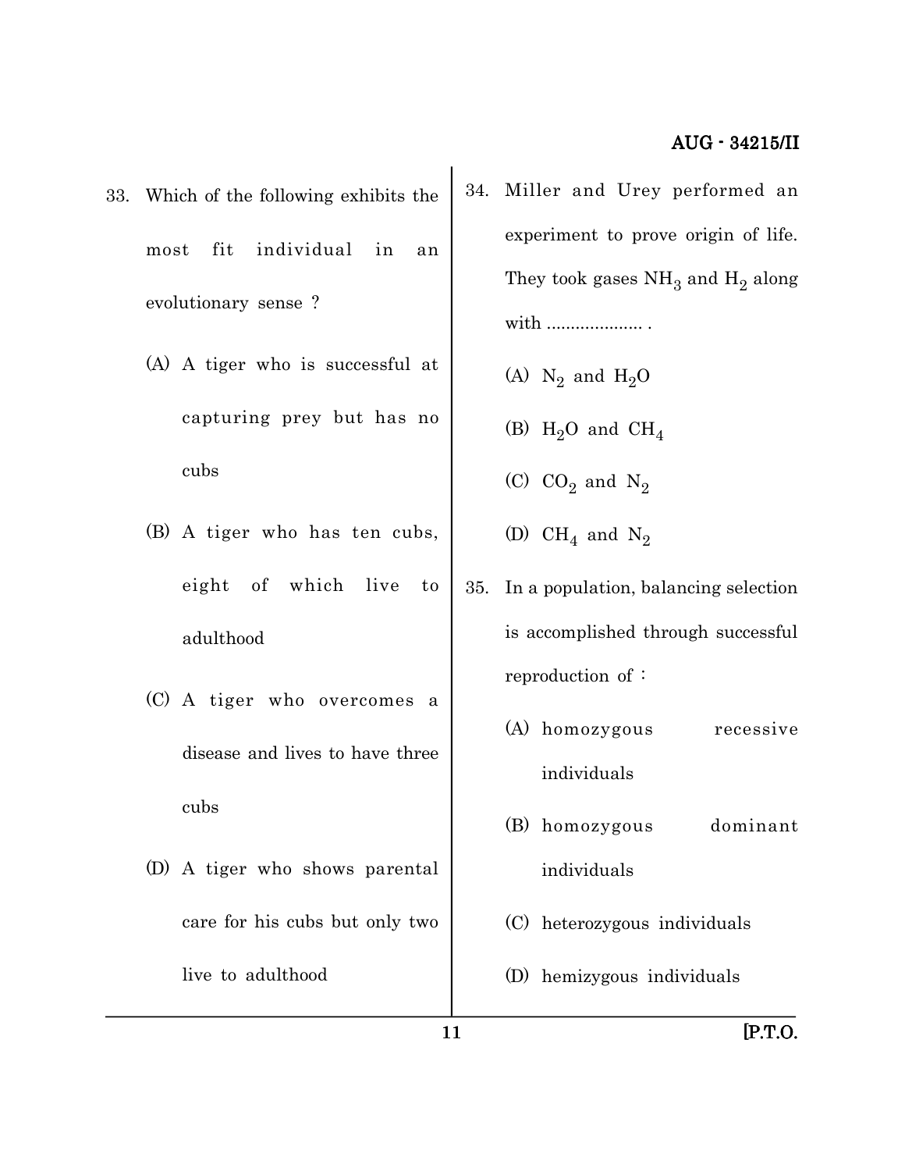- 33. Which of the following exhibits the most fit individual in an evolutionary sense ?
	- (A) A tiger who is successful at capturing prey but has no cubs
	- (B) A tiger who has ten cubs, eight of which live to adulthood
	- (C) A tiger who overcomes a disease and lives to have three cubs
	- (D) A tiger who shows parental care for his cubs but only two live to adulthood
- 34. Miller and Urey performed an experiment to prove origin of life. They took gases  $\mathrm{NH}_3$  and  $\mathrm{H}_2$  along with ......................
	- (A)  $\mathrm{N}_2$  and  $\mathrm{H}_2\mathrm{O}$
	- (B)  $H_2O$  and  $CH_4$
	- (C)  $CO_2$  and  $N_2$
	- (D)  $\mathrm{CH}_4$  and  $\mathrm{N}_2$
- 35. In a population, balancing selection is accomplished through successful reproduction of :
	- (A) homozygous recessive individuals
	- (B) homozygous dominant individuals
	- (C) heterozygous individuals
	- (D) hemizygous individuals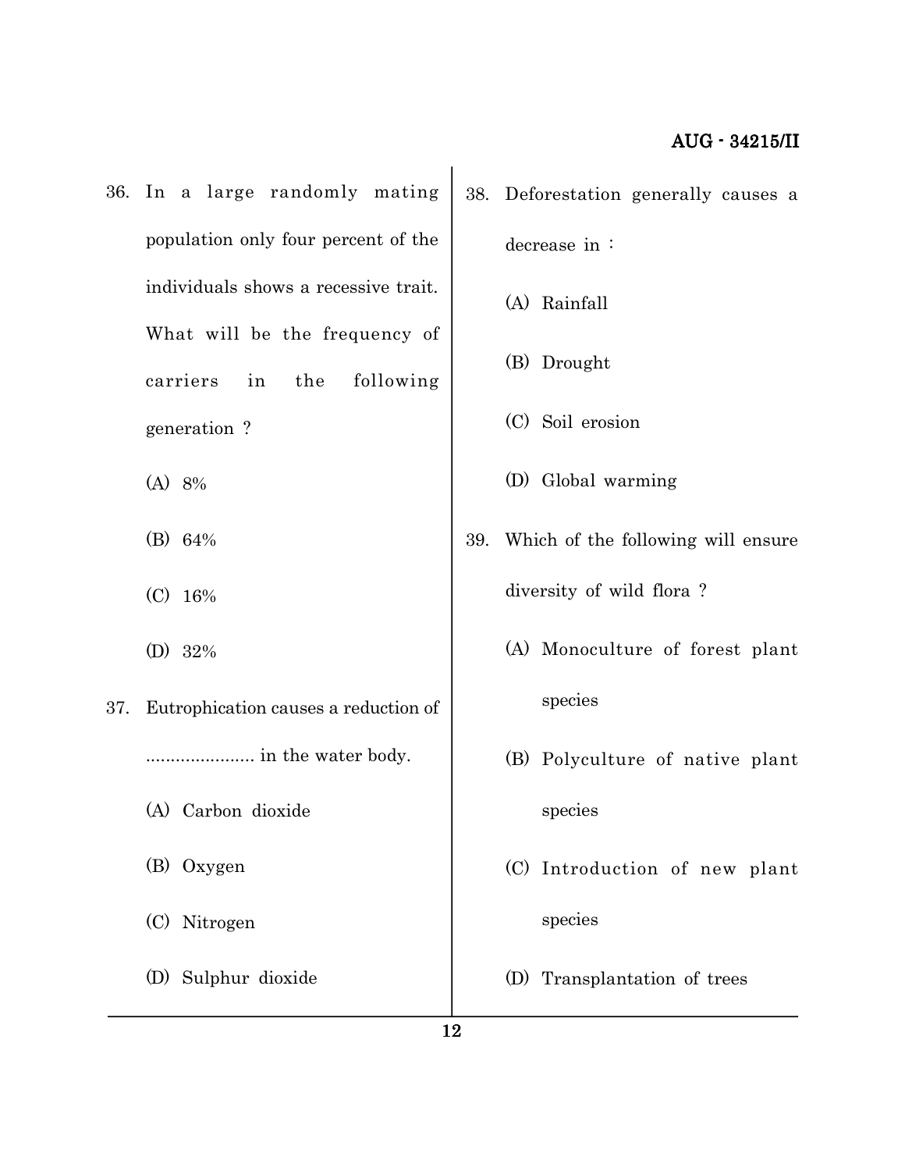- 36. In a large randomly mating population only four percent of the individuals shows a recessive trait. What will be the frequency of carriers in the following generation ?
	- (A) 8%
	- (B) 64%
	- (C) 16%
	- (D) 32%
- 37. Eutrophication causes a reduction of ...................... in the water body.
	- (A) Carbon dioxide
	- (B) Oxygen
	- (C) Nitrogen
	- (D) Sulphur dioxide

38. Deforestation generally causes a

decrease in :

- (A) Rainfall
- (B) Drought
- (C) Soil erosion
- (D) Global warming
- 39. Which of the following will ensure diversity of wild flora ?
	- (A) Monoculture of forest plant species
	- (B) Polyculture of native plant species
	- (C) Introduction of new plant species
	- (D) Transplantation of trees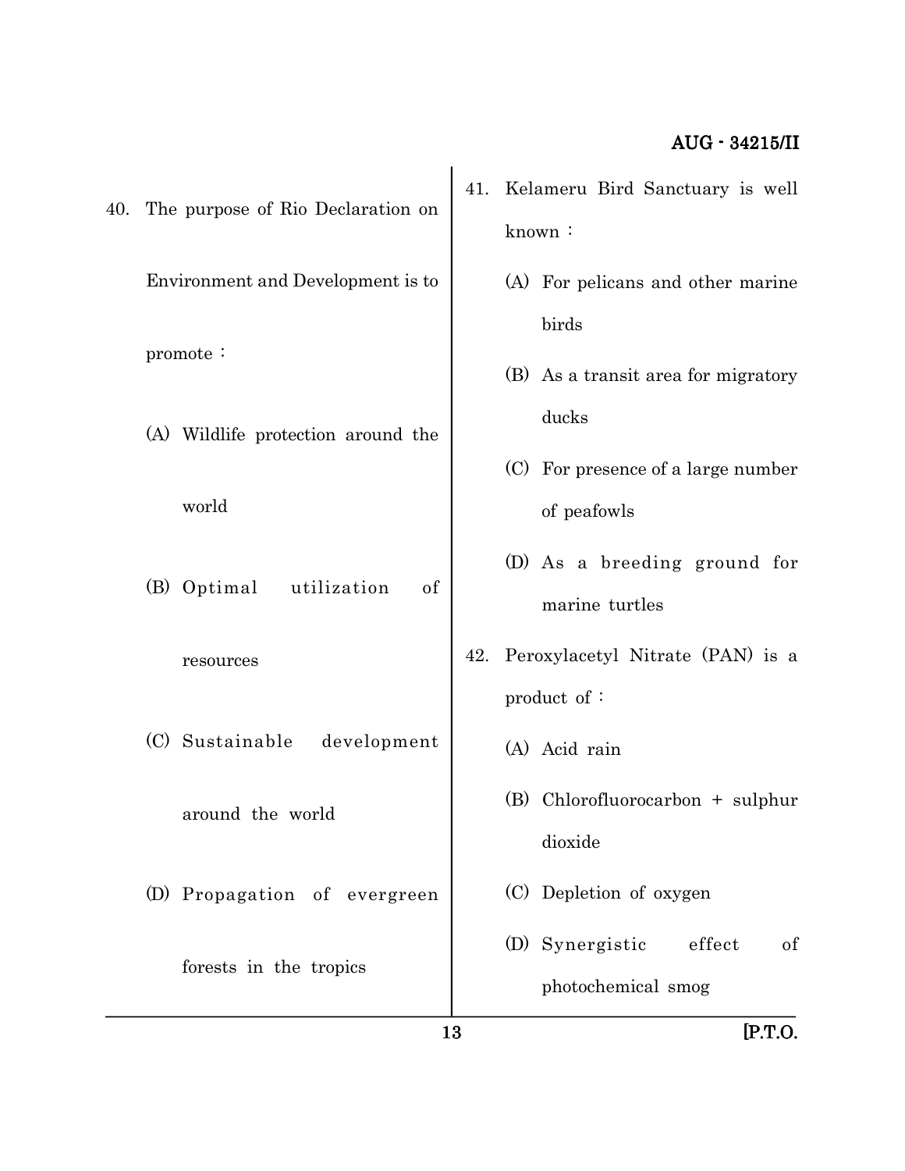|     |                                    | 13  | $[$ P.T.O.                                                                         |
|-----|------------------------------------|-----|------------------------------------------------------------------------------------|
|     | forests in the tropics             |     | (D) Synergistic<br>effect<br>of<br>photochemical smog                              |
|     | (D) Propagation of evergreen       |     | dioxide<br>(C) Depletion of oxygen                                                 |
|     | around the world                   |     | (B) Chlorofluorocarbon + sulphur                                                   |
|     | (C) Sustainable<br>development     |     | (A) Acid rain                                                                      |
|     | resources                          |     | product of:                                                                        |
|     | (B) Optimal<br>utilization<br>of   | 42. | (D) As a breeding ground for<br>marine turtles<br>Peroxylacetyl Nitrate (PAN) is a |
|     | world                              |     | of peafowls                                                                        |
|     | (A) Wildlife protection around the |     | ducks<br>(C) For presence of a large number                                        |
|     | promote:                           |     | birds<br>(B) As a transit area for migratory                                       |
|     | Environment and Development is to  |     | (A) For pelicans and other marine                                                  |
| 40. | The purpose of Rio Declaration on  | 41. | Kelameru Bird Sanctuary is well<br>known:                                          |
|     |                                    |     |                                                                                    |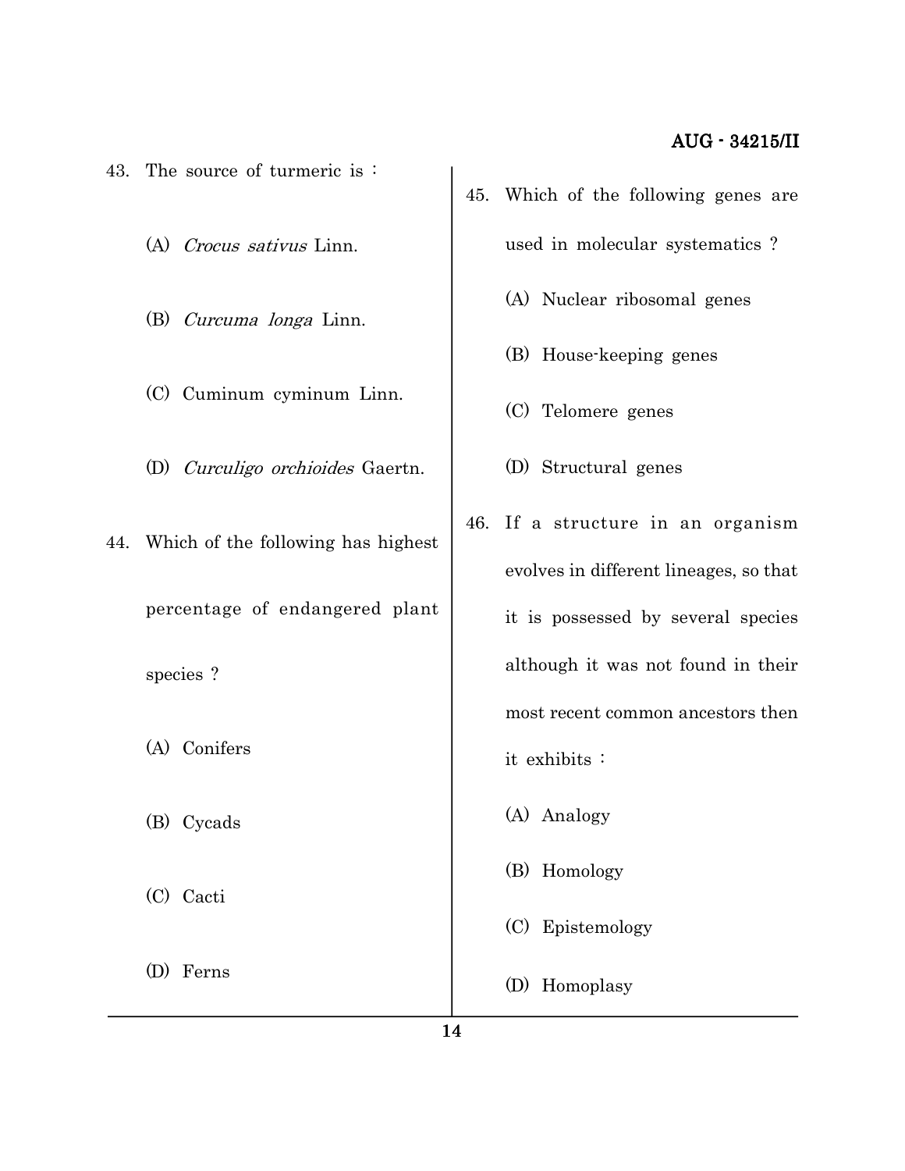- 43. The source of turmeric is :
	- (A) Crocus sativus Linn.
	- (B) Curcuma longa Linn.
	- (C) Cuminum cyminum Linn.
	- (D) Curculigo orchioides Gaertn.
- 44. Which of the following has highest percentage of endangered plant
	- species ?
	- (A) Conifers
	- (B) Cycads
	- (C) Cacti
	- (D) Ferns
- 45. Which of the following genes are used in molecular systematics ?
	- (A) Nuclear ribosomal genes
	- (B) House-keeping genes
	- (C) Telomere genes
	- (D) Structural genes
- 46. If a structure in an organism evolves in different lineages, so that it is possessed by several species although it was not found in their most recent common ancestors then it exhibits :
	- (A) Analogy
	- (B) Homology
	- (C) Epistemology
	- (D) Homoplasy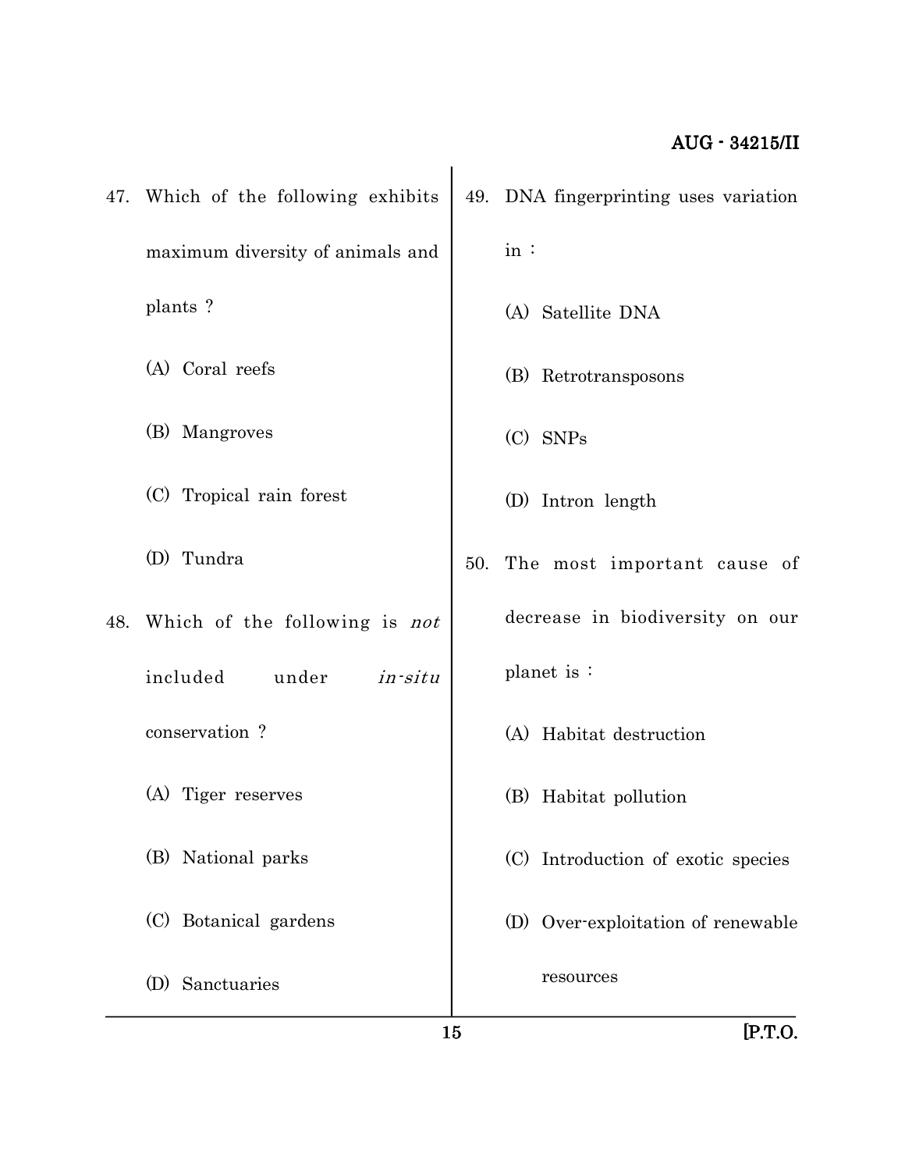| $[$ P.T.O.                            |
|---------------------------------------|
| resources                             |
| (D) Over-exploitation of renewable    |
| (C) Introduction of exotic species    |
| (B) Habitat pollution                 |
| (A) Habitat destruction               |
| planet is:                            |
| decrease in biodiversity on our       |
| The most important cause of<br>50.    |
| (D) Intron length                     |
| $(C)$ SNPs                            |
| (B) Retrotransposons                  |
| (A) Satellite DNA                     |
| in:                                   |
| 49. DNA fingerprinting uses variation |
|                                       |